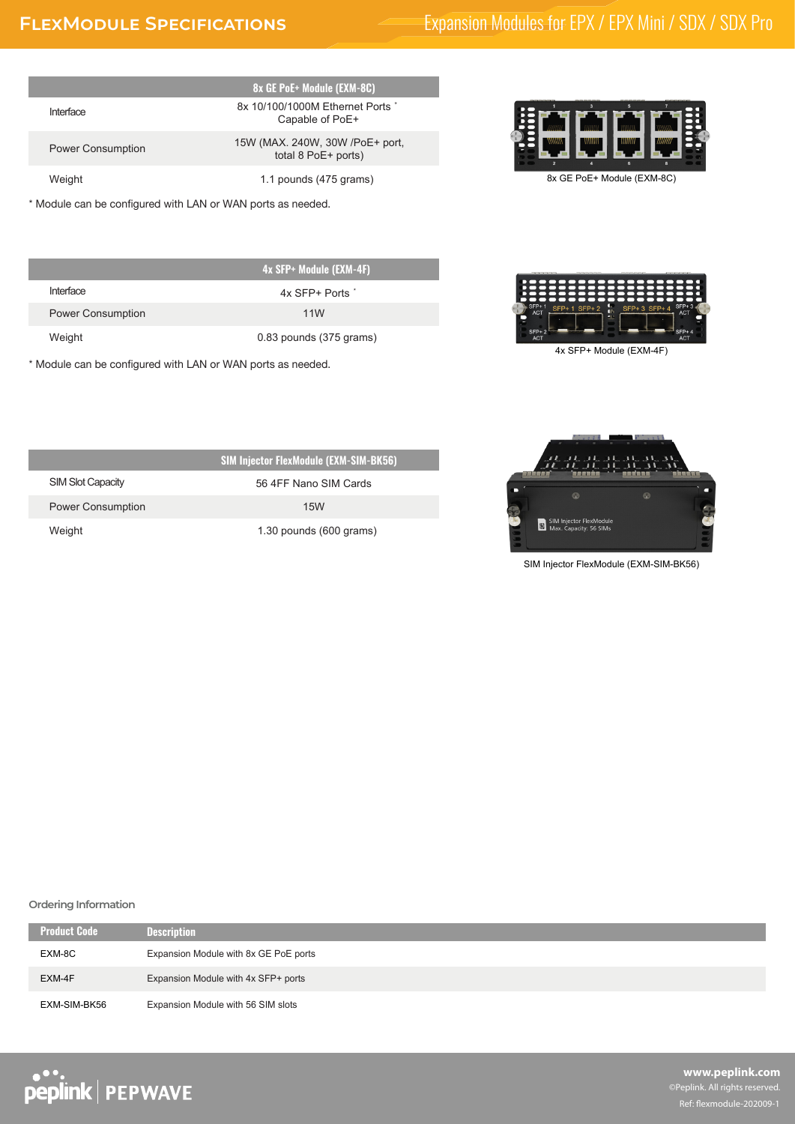ı

# **FLEXMODULE SPECIFICATIONS** Expansion Modules for EPX / EPX Mini / SDX / SDX Pro

|                          | 8x GE PoE+ Module (EXM-8C)                             |
|--------------------------|--------------------------------------------------------|
| Interface                | 8x 10/100/1000M Ethernet Ports *<br>Capable of PoE+    |
| <b>Power Consumption</b> | 15W (MAX. 240W, 30W /PoE+ port,<br>total 8 PoE+ ports) |
| Weight                   | 1.1 pounds (475 grams)                                 |

\* Module can be configured with LAN or WAN ports as needed.

|                          | 4x SFP+ Module (EXM-4F)   |
|--------------------------|---------------------------|
| Interface                | $4x$ SFP+ Ports $\dot{ }$ |
| <b>Power Consumption</b> | 11 <sub>W</sub>           |
| Weight                   | 0.83 pounds (375 grams)   |

\* Module can be configured with LAN or WAN ports as needed.





4x SFP+ Module (EXM-4F)



SIM Injector FlexModule (EXM-SIM-BK56)

| <b>SIM Injector FlexModule (EXM-SIM-BK56)</b> |                         |
|-----------------------------------------------|-------------------------|
| SIM Slot Capacity                             | 56 4FF Nano SIM Cards   |
| <b>Power Consumption</b>                      | 15 <sub>W</sub>         |
| Weight                                        | 1.30 pounds (600 grams) |

### **Ordering Information**

| <b>Product Code</b> | <b>Description</b>                    |
|---------------------|---------------------------------------|
| EXM-8C              | Expansion Module with 8x GE PoE ports |
| EXM-4F              | Expansion Module with 4x SFP+ ports   |
| EXM-SIM-BK56        | Expansion Module with 56 SIM slots    |

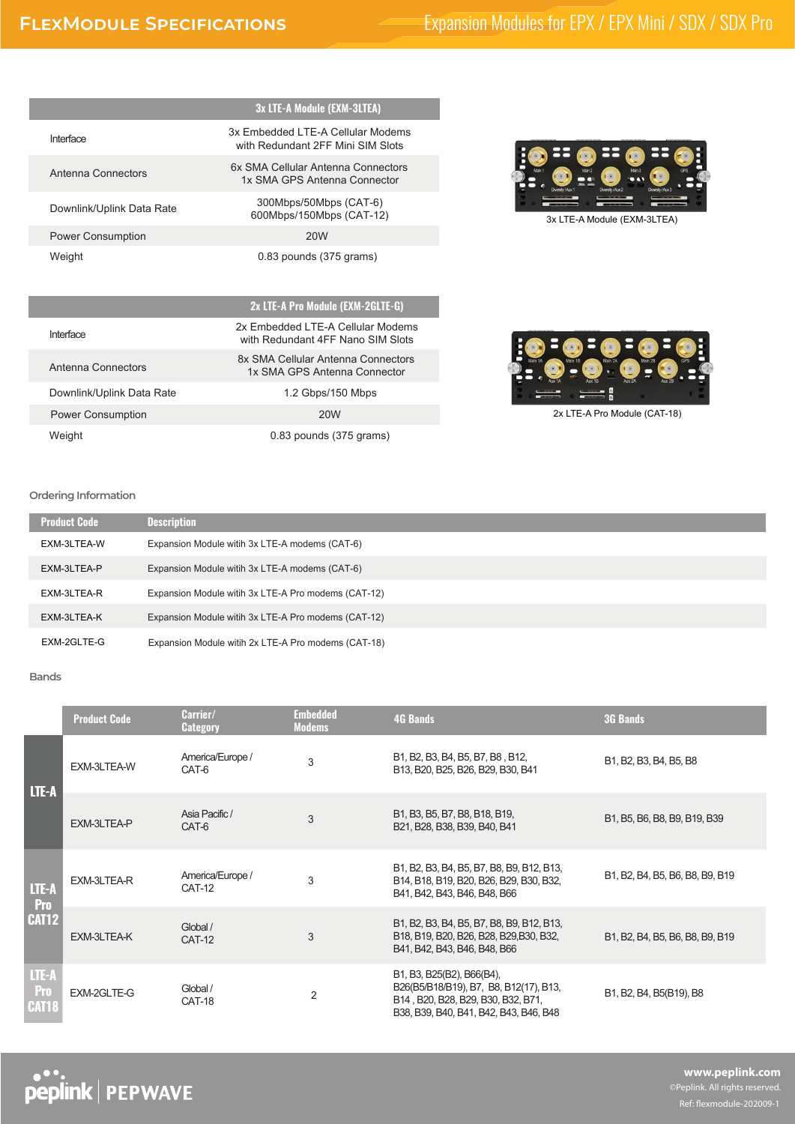## **FLEXMODULE SPECIFICATIONS** Expansion Modules for EPX / EPX Mini / SDX / SDX Pro

|                           | 3x LTE-A Module (EXM-3LTEA)                                             |
|---------------------------|-------------------------------------------------------------------------|
| Interface                 | 3x Embedded I TE-A Cellular Modems<br>with Redundant 2FF Mini SIM Slots |
| Antenna Connectors        | 6x SMA Cellular Antenna Connectors<br>1x SMA GPS Antenna Connector      |
| Downlink/Uplink Data Rate | 300Mbps/50Mbps (CAT-6)<br>600Mbps/150Mbps (CAT-12)                      |
| <b>Power Consumption</b>  | <b>20W</b>                                                              |
| Weight                    | $0.83$ pounds $(375 \text{ grams})$                                     |

**2x LTE-A Pro Module (EXM-2GLTE-G)**

8x SMA Cellular Antenna Connectors

with Redundant 4FF Nano SIM Slots

Weight 0.83 pounds (375 grams)

Downlink/Uplink Data Rate 1.2 Gbps/150 Mbps

Power Consumption 20W

Antenna Connectors<br>
1x SMA GPS Antenna Connector

Interface 2x Embedded LTE-A Cellular Modems



3x LTE-A Module (EXM-3LTEA)



2x LTE-A Pro Module (CAT-18)

#### **Ordering Information**

| <b>Product Code</b> | <b>Description</b>                                  |
|---------------------|-----------------------------------------------------|
| EXM-3LTEA-W         | Expansion Module witih 3x LTE-A modems (CAT-6)      |
| EXM-3LTEA-P         | Expansion Module witih 3x LTE-A modems (CAT-6)      |
| EXM-3LTEA-R         | Expansion Module witih 3x LTE-A Pro modems (CAT-12) |
| EXM-3LTEA-K         | Expansion Module witih 3x LTE-A Pro modems (CAT-12) |
| EXM-2GLTE-G         | Expansion Module witih 2x LTE-A Pro modems (CAT-18) |

#### **Bands**

|                                     | <b>Product Code</b> | Carrier/<br><b>Category</b>       | <b>Embedded</b><br><b>Modems</b> | <b>4G Bands</b>                                                                                                                                     | <b>3G Bands</b>                 |
|-------------------------------------|---------------------|-----------------------------------|----------------------------------|-----------------------------------------------------------------------------------------------------------------------------------------------------|---------------------------------|
| LTE-A                               | EXM-3LTEA-W         | America/Europe /<br>CAT-6         | 3                                | B1, B2, B3, B4, B5, B7, B8, B12,<br>B13, B20, B25, B26, B29, B30, B41                                                                               | B1, B2, B3, B4, B5, B8          |
|                                     | EXM-3LTEA-P         | Asia Pacific /<br>CAT-6           | 3                                | B1, B3, B5, B7, B8, B18, B19,<br>B21, B28, B38, B39, B40, B41                                                                                       | B1, B5, B6, B8, B9, B19, B39    |
| LTE-A<br>Pro                        | EXM-3LTEA-R         | America/Europe /<br><b>CAT-12</b> | 3                                | B1, B2, B3, B4, B5, B7, B8, B9, B12, B13,<br>B14, B18, B19, B20, B26, B29, B30, B32,<br>B41, B42, B43, B46, B48, B66                                | B1, B2, B4, B5, B6, B8, B9, B19 |
| <b>CAT12</b>                        | EXM-3LTEA-K         | Global /<br><b>CAT-12</b>         | 3                                | B1, B2, B3, B4, B5, B7, B8, B9, B12, B13,<br>B18, B19, B20, B26, B28, B29, B30, B32,<br>B41, B42, B43, B46, B48, B66                                | B1, B2, B4, B5, B6, B8, B9, B19 |
| LTE-A<br><b>Pro</b><br><b>CAT18</b> | EXM-2GLTE-G         | Global /<br>CAT-18                | 2                                | B1, B3, B25(B2), B66(B4),<br>B26(B5/B18/B19), B7, B8, B12(17), B13,<br>B14, B20, B28, B29, B30, B32, B71,<br>B38, B39, B40, B41, B42, B43, B46, B48 | B1, B2, B4, B5(B19), B8         |